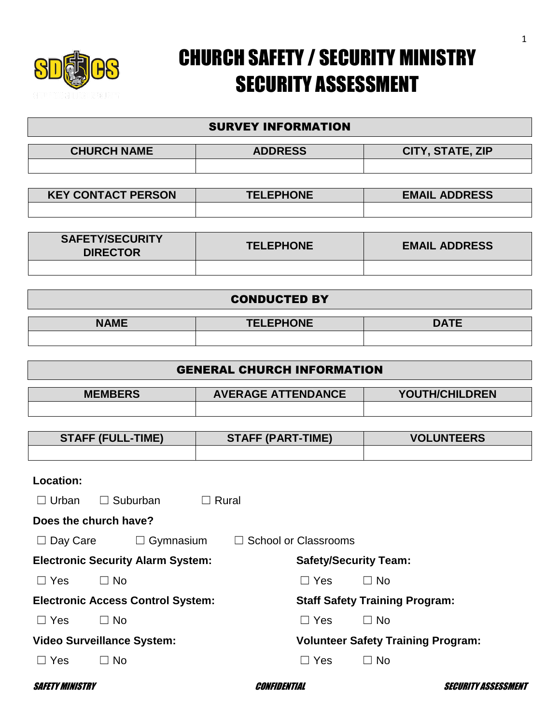

## CHURCH SAFETY / SECURITY MINISTRY SECURITY ASSESSMENT

## SURVEY INFORMATION

| <b>CHURCH NAME</b> | <b>ADDRESS</b> | CITY, STATE, ZIP |
|--------------------|----------------|------------------|
|                    |                |                  |

| <b>KEY CONTACT PERSON</b> | <b>TELEPHONE</b> | <b>EMAIL ADDRESS</b> |
|---------------------------|------------------|----------------------|
|                           |                  |                      |

| <b>SAFETY/SECURITY</b><br><b>DIRECTOR</b> | <b>TELEPHONE</b> | <b>EMAIL ADDRESS</b> |
|-------------------------------------------|------------------|----------------------|
|                                           |                  |                      |

#### CONDUCTED BY

| $\cdots$ | <b>TELEPHONE</b> | $\sim$ $\sim$ $\sim$<br>$\blacksquare$ |
|----------|------------------|----------------------------------------|
|          |                  |                                        |

## GENERAL CHURCH INFORMATION

| <b>MEMBERS</b> | <b>AVERAGE ATTENDANCE</b> | YOUTH/CHILDREN |
|----------------|---------------------------|----------------|
|                |                           |                |

| <b>STAFF (FULL-TIME)</b> | <b>STAFF (PART-TIME)</b> | <b>VOLUNTEERS</b> |
|--------------------------|--------------------------|-------------------|
|                          |                          |                   |

| Location:                     |                                          |                                        |                                           |
|-------------------------------|------------------------------------------|----------------------------------------|-------------------------------------------|
| Urban                         | Suburban<br>$\Box$ Rural<br>$\Box$       |                                        |                                           |
|                               | Does the church have?                    |                                        |                                           |
| $\Box$ Day Care               | $\Box$ Gymnasium                         | <b>School or Classrooms</b><br>$\perp$ |                                           |
|                               | <b>Electronic Security Alarm System:</b> | <b>Safety/Security Team:</b>           |                                           |
| $\Box$ Yes                    | $\Box$ No                                | $\Box$ Yes                             | $\Box$ No                                 |
|                               | <b>Electronic Access Control System:</b> |                                        | <b>Staff Safety Training Program:</b>     |
| $\Box$ Yes                    | $\Box$ No                                | $\Box$ Yes                             | $\Box$ No                                 |
|                               | <b>Video Surveillance System:</b>        |                                        | <b>Volunteer Safety Training Program:</b> |
| Yes                           | <b>No</b><br>$\Box$                      | $\Box$ Yes                             | $\Box$ No                                 |
| <i><b>SAFETY MINISTRY</b></i> |                                          | <i>Confidential</i>                    | <i>SECURITY ASSESSMENT</i>                |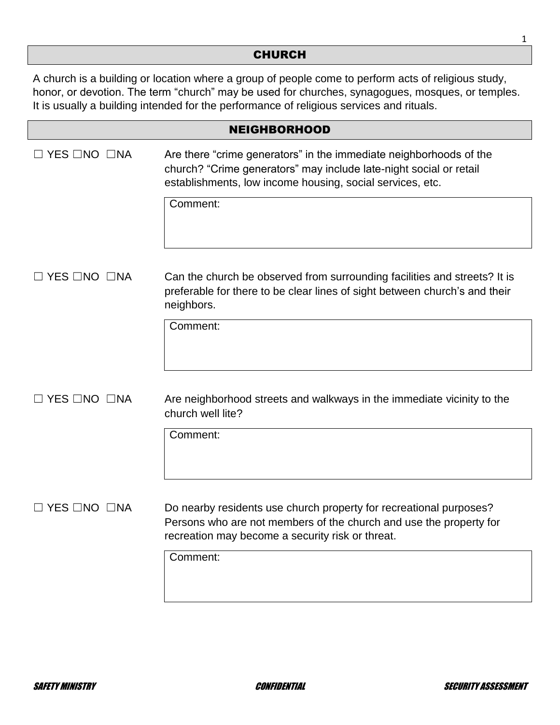#### CHURCH

A church is a building or location where a group of people come to perform acts of religious study, honor, or devotion. The term "church" may be used for churches, synagogues, mosques, or temples. It is usually a building intended for the performance of religious services and rituals.

|                                | <b>NEIGHBORHOOD</b>                                                                                                                                                                                   |
|--------------------------------|-------------------------------------------------------------------------------------------------------------------------------------------------------------------------------------------------------|
| YES □NO □NA                    | Are there "crime generators" in the immediate neighborhoods of the<br>church? "Crime generators" may include late-night social or retail<br>establishments, low income housing, social services, etc. |
|                                | Comment:                                                                                                                                                                                              |
| $\Box$ YES $\Box$ NO $\Box$ NA | Can the church be observed from surrounding facilities and streets? It is<br>preferable for there to be clear lines of sight between church's and their<br>neighbors.                                 |
|                                | Comment:                                                                                                                                                                                              |
| $\Box$ YES $\Box$ NO $\Box$ NA | Are neighborhood streets and walkways in the immediate vicinity to the<br>church well lite?                                                                                                           |
|                                | Comment:                                                                                                                                                                                              |
| <b>YES □NO □NA</b>             | Do nearby residents use church property for recreational purposes?<br>Persons who are not members of the church and use the property for<br>recreation may become a security risk or threat.          |
|                                | Comment:                                                                                                                                                                                              |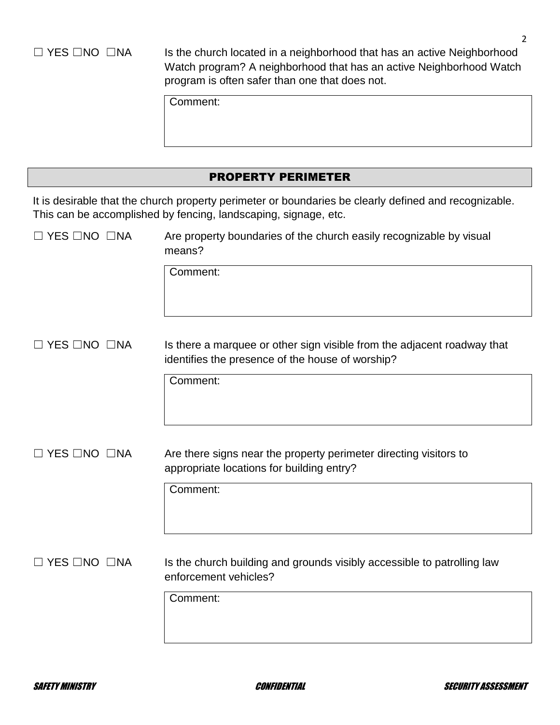□ YES □NO □NA Is the church located in a neighborhood that has an active Neighborhood Watch program? A neighborhood that has an active Neighborhood Watch program is often safer than one that does not.

Comment:

## PROPERTY PERIMETER

It is desirable that the church property perimeter or boundaries be clearly defined and recognizable. This can be accomplished by fencing, landscaping, signage, etc.

| $\Box$ YES $\Box$ NO $\Box$ NA | Are property boundaries of the church easily recognizable by visual |
|--------------------------------|---------------------------------------------------------------------|
|                                | means?                                                              |

Comment:

□ YES □NO □NA Is there a marquee or other sign visible from the adjacent roadway that identifies the presence of the house of worship?

Comment:

□ YES □NO □NA Are there signs near the property perimeter directing visitors to appropriate locations for building entry?

Comment:

 $\Box$  YES  $\Box$ NO  $\Box$ NA Is the church building and grounds visibly accessible to patrolling law enforcement vehicles?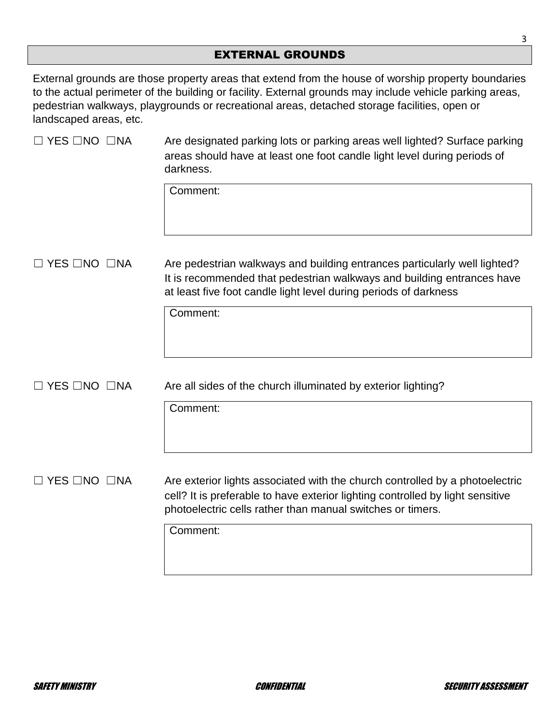#### EXTERNAL GROUNDS

External grounds are those property areas that extend from the house of worship property boundaries to the actual perimeter of the building or facility. External grounds may include vehicle parking areas, pedestrian walkways, playgrounds or recreational areas, detached storage facilities, open or landscaped areas, etc.

| $\Box$ YES $\Box$ NO $\Box$ NA | Are designated parking lots or parking areas well lighted? Surface parking<br>areas should have at least one foot candle light level during periods of<br>darkness.                                                          |  |
|--------------------------------|------------------------------------------------------------------------------------------------------------------------------------------------------------------------------------------------------------------------------|--|
|                                | Comment:                                                                                                                                                                                                                     |  |
| $\Box$ YES $\Box$ NO $\Box$ NA | Are pedestrian walkways and building entrances particularly well lighted?<br>It is recommended that pedestrian walkways and building entrances have<br>at least five foot candle light level during periods of darkness      |  |
|                                | Comment:                                                                                                                                                                                                                     |  |
| $\Box$ YES $\Box$ NO $\Box$ NA | Are all sides of the church illuminated by exterior lighting?                                                                                                                                                                |  |
|                                | Comment:                                                                                                                                                                                                                     |  |
| $\Box$ YES $\Box$ NO $\Box$ NA | Are exterior lights associated with the church controlled by a photoelectric<br>cell? It is preferable to have exterior lighting controlled by light sensitive<br>photoelectric cells rather than manual switches or timers. |  |
|                                | Comment:                                                                                                                                                                                                                     |  |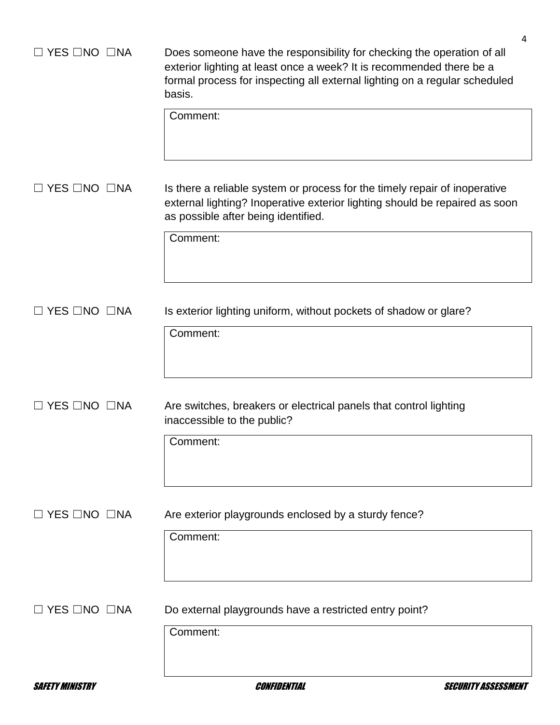| 4<br>Does someone have the responsibility for checking the operation of all<br>exterior lighting at least once a week? It is recommended there be a<br>formal process for inspecting all external lighting on a regular scheduled<br>basis.<br>Comment: |
|---------------------------------------------------------------------------------------------------------------------------------------------------------------------------------------------------------------------------------------------------------|
| Is there a reliable system or process for the timely repair of inoperative<br>external lighting? Inoperative exterior lighting should be repaired as soon<br>as possible after being identified.<br>Comment:                                            |
| Is exterior lighting uniform, without pockets of shadow or glare?<br>Comment:                                                                                                                                                                           |
| Are switches, breakers or electrical panels that control lighting<br>inaccessible to the public?<br>Comment:                                                                                                                                            |
| Are exterior playgrounds enclosed by a sturdy fence?<br>Comment:                                                                                                                                                                                        |
| Do external playgrounds have a restricted entry point?<br>Comment:                                                                                                                                                                                      |
|                                                                                                                                                                                                                                                         |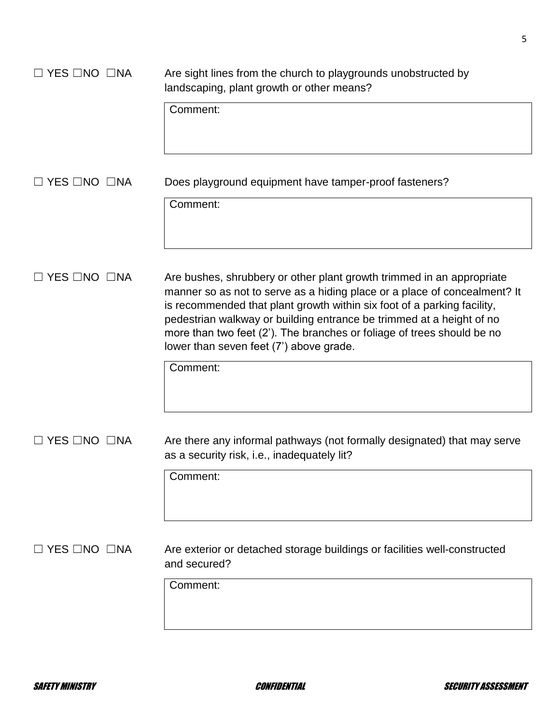| $\Box$ YES $\Box$ NO $\Box$ NA | Are sight lines from the church to playgrounds unobstructed by<br>landscaping, plant growth or other means?                                                                                                                                                                                                                                                                                                                |
|--------------------------------|----------------------------------------------------------------------------------------------------------------------------------------------------------------------------------------------------------------------------------------------------------------------------------------------------------------------------------------------------------------------------------------------------------------------------|
|                                | Comment:                                                                                                                                                                                                                                                                                                                                                                                                                   |
| $\Box$ YES $\Box$ NO $\Box$ NA | Does playground equipment have tamper-proof fasteners?                                                                                                                                                                                                                                                                                                                                                                     |
|                                | Comment:                                                                                                                                                                                                                                                                                                                                                                                                                   |
| $\Box$ YES $\Box$ NO $\Box$ NA | Are bushes, shrubbery or other plant growth trimmed in an appropriate<br>manner so as not to serve as a hiding place or a place of concealment? It<br>is recommended that plant growth within six foot of a parking facility,<br>pedestrian walkway or building entrance be trimmed at a height of no<br>more than two feet (2'). The branches or foliage of trees should be no<br>lower than seven feet (7') above grade. |
|                                | Comment:                                                                                                                                                                                                                                                                                                                                                                                                                   |
| $\Box$ YES $\Box$ NO $\Box$ NA | Are there any informal pathways (not formally designated) that may serve<br>as a security risk, i.e., inadequately lit?                                                                                                                                                                                                                                                                                                    |
|                                | Comment:                                                                                                                                                                                                                                                                                                                                                                                                                   |
| $\Box$ YES $\Box$ NO $\Box$ NA | Are exterior or detached storage buildings or facilities well-constructed<br>and secured?                                                                                                                                                                                                                                                                                                                                  |
|                                | Comment:                                                                                                                                                                                                                                                                                                                                                                                                                   |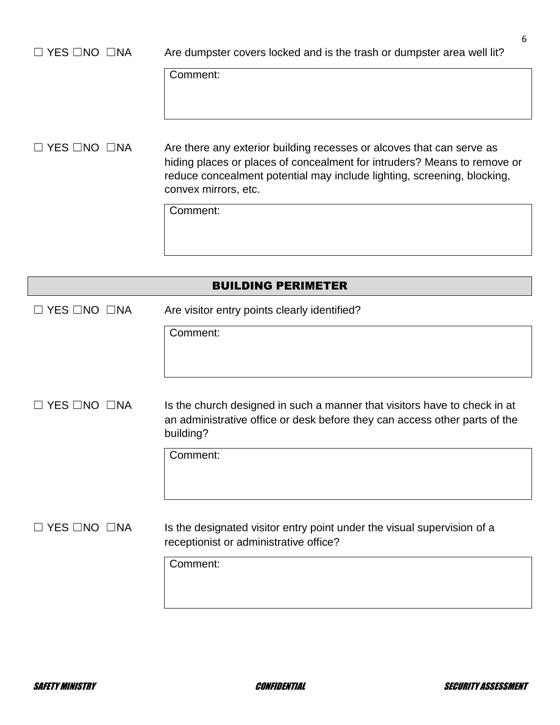# □ YES □NO □NA Are dumpster covers locked and is the trash or dumpster area well lit? Comment:

□ YES □NO □NA Are there any exterior building recesses or alcoves that can serve as hiding places or places of concealment for intruders? Means to remove or reduce concealment potential may include lighting, screening, blocking, convex mirrors, etc.

Comment:

|                                | <b>BUILDING PERIMETER</b>                                                                                                                                            |
|--------------------------------|----------------------------------------------------------------------------------------------------------------------------------------------------------------------|
| $\Box$ YES $\Box$ NO $\Box$ NA | Are visitor entry points clearly identified?                                                                                                                         |
|                                | Comment:                                                                                                                                                             |
| コ YES □NO  □NA                 | Is the church designed in such a manner that visitors have to check in at<br>an administrative office or desk before they can access other parts of the<br>building? |
|                                | Comment:                                                                                                                                                             |
| □ YES □NO □NA                  | Is the designated visitor entry point under the visual supervision of a<br>receptionist or administrative office?                                                    |
|                                | Comment:                                                                                                                                                             |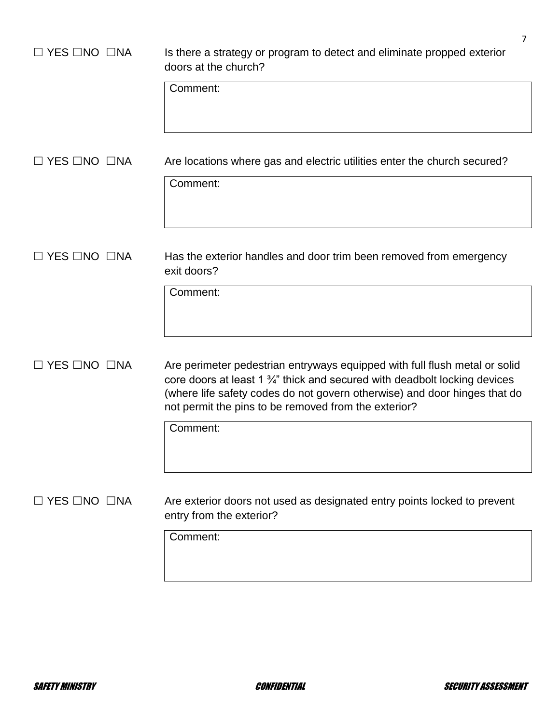| $\Box$ YES $\Box$ NO $\Box$ NA | 7<br>Is there a strategy or program to detect and eliminate propped exterior<br>doors at the church?<br>Comment:                                                                                                                                                                                          |
|--------------------------------|-----------------------------------------------------------------------------------------------------------------------------------------------------------------------------------------------------------------------------------------------------------------------------------------------------------|
| $\Box$ YES $\Box$ NO $\Box$ NA | Are locations where gas and electric utilities enter the church secured?<br>Comment:                                                                                                                                                                                                                      |
| $\Box$ YES $\Box$ NO $\Box$ NA | Has the exterior handles and door trim been removed from emergency<br>exit doors?<br>Comment:                                                                                                                                                                                                             |
| $\Box$ YES $\Box$ NO $\Box$ NA | Are perimeter pedestrian entryways equipped with full flush metal or solid<br>core doors at least 1 3/4" thick and secured with deadbolt locking devices<br>(where life safety codes do not govern otherwise) and door hinges that do<br>not permit the pins to be removed from the exterior?<br>Comment: |
| $\Box$ YES $\Box$ NO $\Box$ NA | Are exterior doors not used as designated entry points locked to prevent<br>entry from the exterior?<br>Comment:                                                                                                                                                                                          |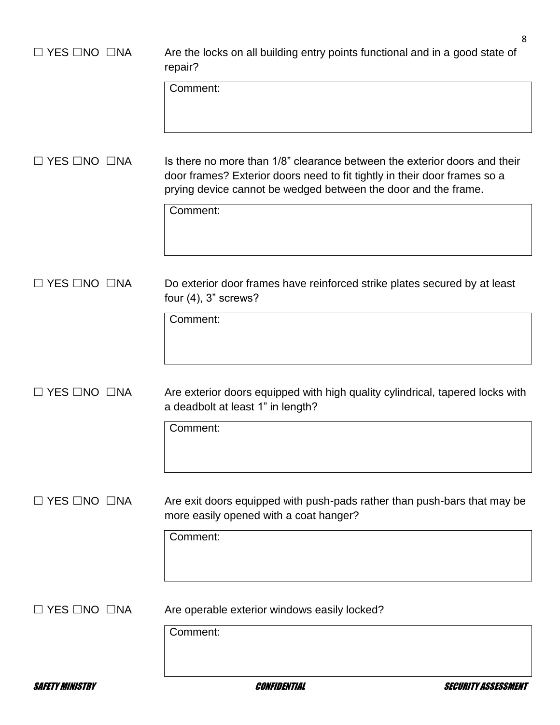| <b>SAFETY MINISTRY</b>         | Confidential<br><i>SECURITY ASSESSMEI</i>                                                                                                                                                                                |   |
|--------------------------------|--------------------------------------------------------------------------------------------------------------------------------------------------------------------------------------------------------------------------|---|
| $\Box$ YES $\Box$ NO $\Box$ NA | Are operable exterior windows easily locked?<br>Comment:                                                                                                                                                                 |   |
|                                |                                                                                                                                                                                                                          |   |
|                                | more easily opened with a coat hanger?<br>Comment:                                                                                                                                                                       |   |
| $\Box$ YES $\Box$ NO $\Box$ NA | Are exit doors equipped with push-pads rather than push-bars that may be                                                                                                                                                 |   |
|                                | Comment:                                                                                                                                                                                                                 |   |
| $\Box$ YES $\Box$ NO $\Box$ NA | Are exterior doors equipped with high quality cylindrical, tapered locks with<br>a deadbolt at least 1" in length?                                                                                                       |   |
|                                | Comment:                                                                                                                                                                                                                 |   |
| $\Box$ YES $\Box$ NO $\Box$ NA | Do exterior door frames have reinforced strike plates secured by at least<br>four $(4)$ , 3" screws?                                                                                                                     |   |
|                                | Comment:                                                                                                                                                                                                                 |   |
| $\Box$ YES $\Box$ NO $\Box$ NA | Is there no more than 1/8" clearance between the exterior doors and their<br>door frames? Exterior doors need to fit tightly in their door frames so a<br>prying device cannot be wedged between the door and the frame. |   |
|                                | Comment:                                                                                                                                                                                                                 |   |
| $\Box$ YES $\Box$ NO $\Box$ NA | Are the locks on all building entry points functional and in a good state of<br>repair?                                                                                                                                  | 8 |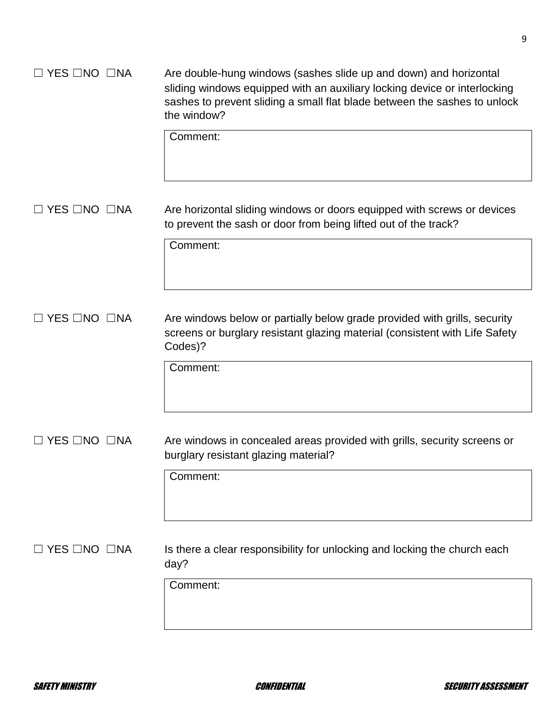## ☐ YES ☐NO ☐NA Are double-hung windows (sashes slide up and down) and horizontal sliding windows equipped with an auxiliary locking device or interlocking sashes to prevent sliding a small flat blade between the sashes to unlock the window?

Comment:

□ YES □NO □NA Are horizontal sliding windows or doors equipped with screws or devices to prevent the sash or door from being lifted out of the track?

Comment:

☐ YES ☐NO ☐NA Are windows below or partially below grade provided with grills, security screens or burglary resistant glazing material (consistent with Life Safety Codes)?

Comment:

□ YES □NO □NA Are windows in concealed areas provided with grills, security screens or burglary resistant glazing material?

Comment:

 $\Box$  YES  $\Box$ NO  $\Box$ NA Is there a clear responsibility for unlocking and locking the church each day?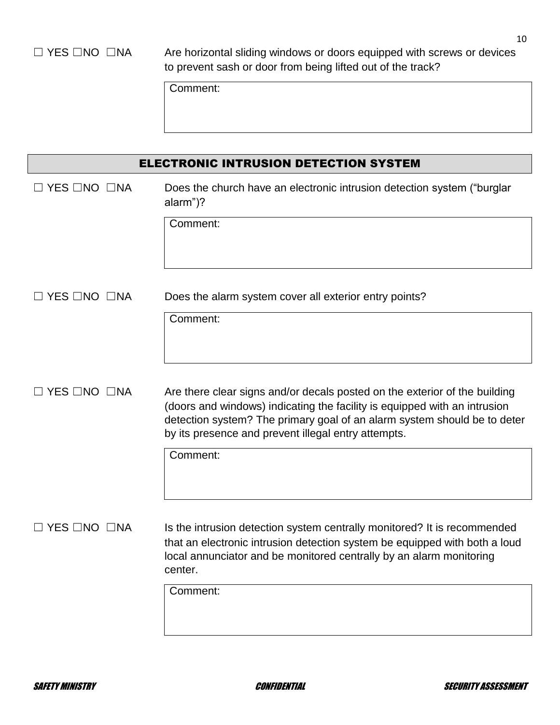□ YES □NO □NA Are horizontal sliding windows or doors equipped with screws or devices to prevent sash or door from being lifted out of the track?

| ELECTRONIC INTRUSION DETECTION SYSTEM |                                                                                                                                                                                                                                                                                            |
|---------------------------------------|--------------------------------------------------------------------------------------------------------------------------------------------------------------------------------------------------------------------------------------------------------------------------------------------|
| $\Box$ YES $\Box$ NO $\Box$ NA        | Does the church have an electronic intrusion detection system ("burglar<br>alarm")?<br>Comment:                                                                                                                                                                                            |
| $\Box$ YES $\Box$ NO $\Box$ NA        | Does the alarm system cover all exterior entry points?<br>Comment:                                                                                                                                                                                                                         |
|                                       |                                                                                                                                                                                                                                                                                            |
| $\Box$ YES $\Box$ NO $\Box$ NA        | Are there clear signs and/or decals posted on the exterior of the building<br>(doors and windows) indicating the facility is equipped with an intrusion<br>detection system? The primary goal of an alarm system should be to deter<br>by its presence and prevent illegal entry attempts. |
|                                       | Comment:                                                                                                                                                                                                                                                                                   |
| $\Box$ YES $\Box$ NO $\Box$ NA        | Is the intrusion detection system centrally monitored? It is recommended<br>that an electronic intrusion detection system be equipped with both a loud<br>local annunciator and be monitored centrally by an alarm monitoring<br>center.                                                   |
|                                       | Comment:                                                                                                                                                                                                                                                                                   |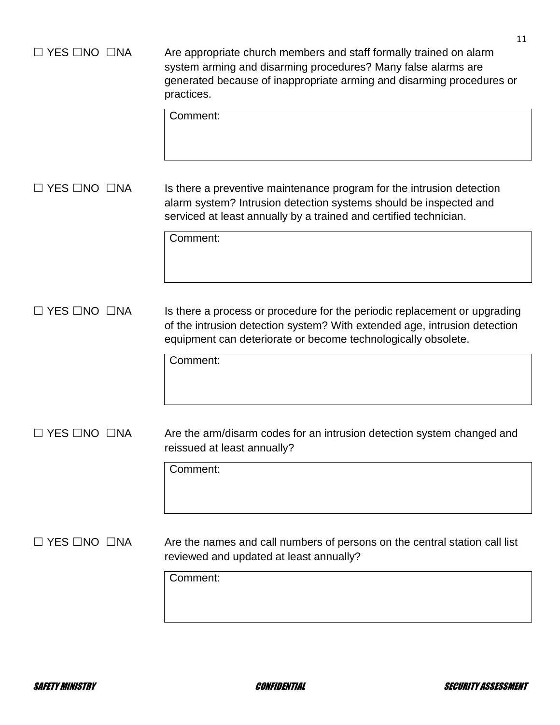| YES □NO □NA                    | 11<br>Are appropriate church members and staff formally trained on alarm<br>system arming and disarming procedures? Many false alarms are<br>generated because of inappropriate arming and disarming procedures or<br>practices.<br>Comment: |
|--------------------------------|----------------------------------------------------------------------------------------------------------------------------------------------------------------------------------------------------------------------------------------------|
| $\Box$ YES $\Box$ NO $\Box$ NA | Is there a preventive maintenance program for the intrusion detection<br>alarm system? Intrusion detection systems should be inspected and<br>serviced at least annually by a trained and certified technician.<br>Comment:                  |
|                                |                                                                                                                                                                                                                                              |
| <b>YES □NO □NA</b>             | Is there a process or procedure for the periodic replacement or upgrading<br>of the intrusion detection system? With extended age, intrusion detection<br>equipment can deteriorate or become technologically obsolete.<br>Comment:          |
|                                |                                                                                                                                                                                                                                              |
| $\Box$ YES $\Box$ NO $\Box$ NA | Are the arm/disarm codes for an intrusion detection system changed and<br>reissued at least annually?                                                                                                                                        |
|                                | Comment:                                                                                                                                                                                                                                     |
| YES □NO □NA                    | Are the names and call numbers of persons on the central station call list<br>reviewed and updated at least annually?                                                                                                                        |
|                                | Comment:                                                                                                                                                                                                                                     |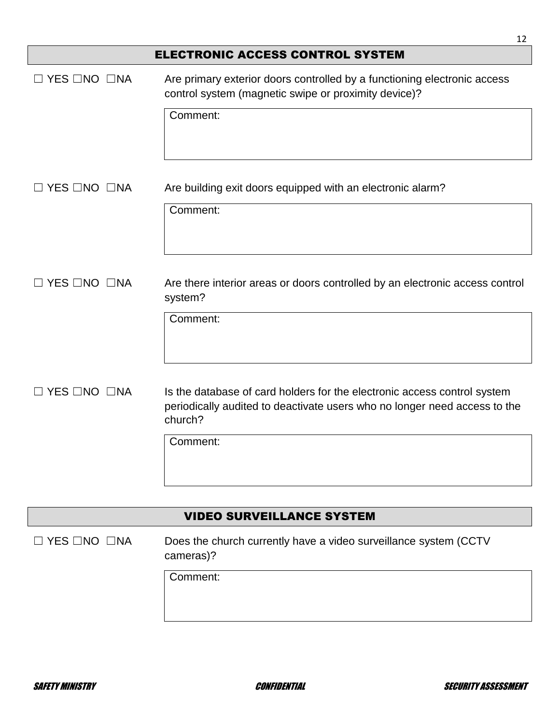|                                  | 12                                                                                                                                                               |  |
|----------------------------------|------------------------------------------------------------------------------------------------------------------------------------------------------------------|--|
|                                  | <b>ELECTRONIC ACCESS CONTROL SYSTEM</b>                                                                                                                          |  |
| $\Box$ YES $\Box$ NO $\Box$ NA   | Are primary exterior doors controlled by a functioning electronic access<br>control system (magnetic swipe or proximity device)?                                 |  |
|                                  | Comment:                                                                                                                                                         |  |
| $\Box$ YES $\Box$ NO $\Box$ NA   | Are building exit doors equipped with an electronic alarm?                                                                                                       |  |
|                                  | Comment:                                                                                                                                                         |  |
| $\Box$ YES $\Box$ NO $\Box$ NA   | Are there interior areas or doors controlled by an electronic access control<br>system?                                                                          |  |
|                                  | Comment:                                                                                                                                                         |  |
| $\Box$ YES $\Box$ NO $\Box$ NA   | Is the database of card holders for the electronic access control system<br>periodically audited to deactivate users who no longer need access to the<br>church? |  |
|                                  | Comment:                                                                                                                                                         |  |
|                                  |                                                                                                                                                                  |  |
| <b>VIDEO SURVEILLANCE SYSTEM</b> |                                                                                                                                                                  |  |
| $\Box$ YES $\Box$ NO $\Box$ NA   | Does the church currently have a video surveillance system (CCTV<br>cameras)?                                                                                    |  |
|                                  | Comment:                                                                                                                                                         |  |
|                                  |                                                                                                                                                                  |  |

 $\overline{\phantom{a}}$  $\overline{\phantom{a}}$ 

 $\mathsf{l}$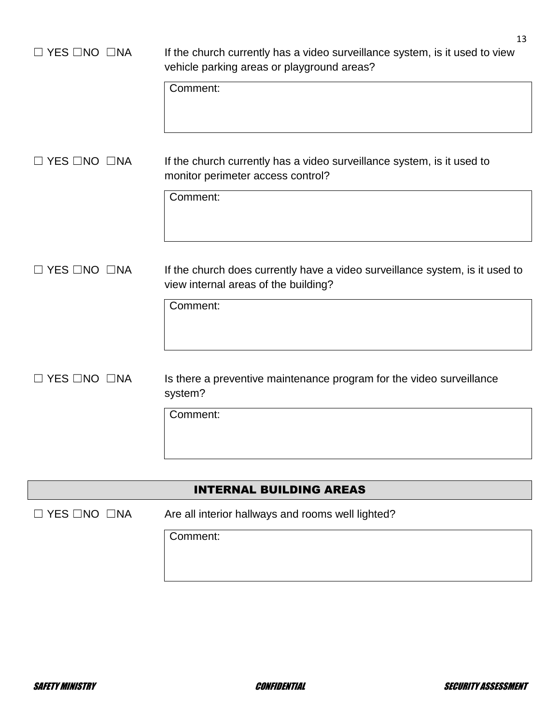| $\Box$ YES $\Box$ NO $\Box$ NA | 13<br>If the church currently has a video surveillance system, is it used to view<br>vehicle parking areas or playground areas?<br>Comment: |
|--------------------------------|---------------------------------------------------------------------------------------------------------------------------------------------|
| $\Box$ YES $\Box$ NO $\Box$ NA | If the church currently has a video surveillance system, is it used to<br>monitor perimeter access control?<br>Comment:                     |
| I YES □NO □NA                  | If the church does currently have a video surveillance system, is it used to<br>view internal areas of the building?<br>Comment:            |
| $\Box$ YES $\Box$ NO $\Box$ NA | Is there a preventive maintenance program for the video surveillance<br>system?<br>Comment:                                                 |

## INTERNAL BUILDING AREAS

☐ YES ☐NO ☐NA Are all interior hallways and rooms well lighted?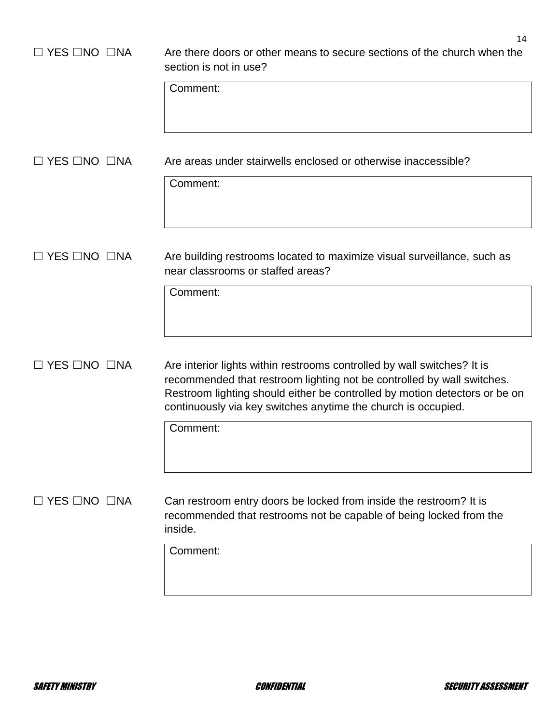| $\Box$ YES $\Box$ NO $\Box$ NA | 14<br>Are there doors or other means to secure sections of the church when the<br>section is not in use?<br>Comment:                                                                                                                                                                             |
|--------------------------------|--------------------------------------------------------------------------------------------------------------------------------------------------------------------------------------------------------------------------------------------------------------------------------------------------|
|                                |                                                                                                                                                                                                                                                                                                  |
| $\Box$ YES $\Box$ NO $\Box$ NA | Are areas under stairwells enclosed or otherwise inaccessible?<br>Comment:                                                                                                                                                                                                                       |
|                                |                                                                                                                                                                                                                                                                                                  |
| $\Box$ YES $\Box$ NO $\Box$ NA | Are building restrooms located to maximize visual surveillance, such as<br>near classrooms or staffed areas?                                                                                                                                                                                     |
|                                | Comment:                                                                                                                                                                                                                                                                                         |
| $\Box$ YES $\Box$ NO $\Box$ NA | Are interior lights within restrooms controlled by wall switches? It is<br>recommended that restroom lighting not be controlled by wall switches.<br>Restroom lighting should either be controlled by motion detectors or be on<br>continuously via key switches anytime the church is occupied. |
|                                | Comment:                                                                                                                                                                                                                                                                                         |
| $\Box$ YES $\Box$ NO $\Box$ NA | Can restroom entry doors be locked from inside the restroom? It is<br>recommended that restrooms not be capable of being locked from the<br>inside.                                                                                                                                              |
|                                | Comment:                                                                                                                                                                                                                                                                                         |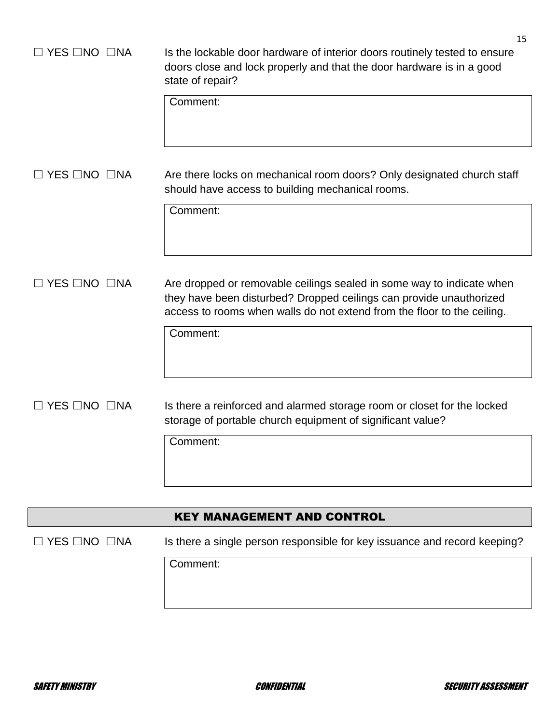| YES □NO □NA        | 15<br>Is the lockable door hardware of interior doors routinely tested to ensure<br>doors close and lock properly and that the door hardware is in a good<br>state of repair?<br>Comment:                                           |
|--------------------|-------------------------------------------------------------------------------------------------------------------------------------------------------------------------------------------------------------------------------------|
| YES □NO □NA        | Are there locks on mechanical room doors? Only designated church staff<br>should have access to building mechanical rooms.<br>Comment:                                                                                              |
| <b>YES □NO □NA</b> | Are dropped or removable ceilings sealed in some way to indicate when<br>they have been disturbed? Dropped ceilings can provide unauthorized<br>access to rooms when walls do not extend from the floor to the ceiling.<br>Comment: |
| <b>YES □NO □NA</b> | Is there a reinforced and alarmed storage room or closet for the locked<br>storage of portable church equipment of significant value?<br>Comment:                                                                                   |
|                    | <b>KEY MANAGEMENT AND CONTROL</b>                                                                                                                                                                                                   |
| YES □NO □NA        | Is there a single person responsible for key issuance and record keeping?<br>Comment:                                                                                                                                               |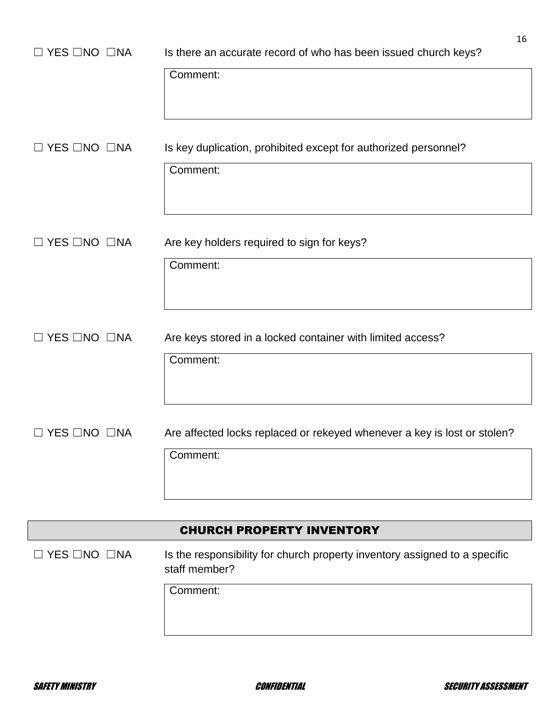| $\Box$ YES $\Box$ NO $\Box$ NA | 16<br>Is there an accurate record of who has been issued church keys?                       |
|--------------------------------|---------------------------------------------------------------------------------------------|
|                                | Comment:                                                                                    |
| $\Box$ YES $\Box$ NO $\Box$ NA | Is key duplication, prohibited except for authorized personnel?                             |
|                                | Comment:                                                                                    |
| $\Box$ YES $\Box$ NO $\Box$ NA | Are key holders required to sign for keys?                                                  |
|                                | Comment:                                                                                    |
| $\Box$ YES $\Box$ NO $\Box$ NA | Are keys stored in a locked container with limited access?                                  |
|                                | Comment:                                                                                    |
| $\Box$ YES $\Box$ NO $\Box$ NA | Are affected locks replaced or rekeyed whenever a key is lost or stolen?                    |
|                                | Comment:                                                                                    |
|                                | <b>CHURCH PROPERTY INVENTORY</b>                                                            |
| $\Box$ YES $\Box$ NO $\Box$ NA | Is the responsibility for church property inventory assigned to a specific<br>staff member? |
|                                | Comment:                                                                                    |

 $\overline{\phantom{a}}$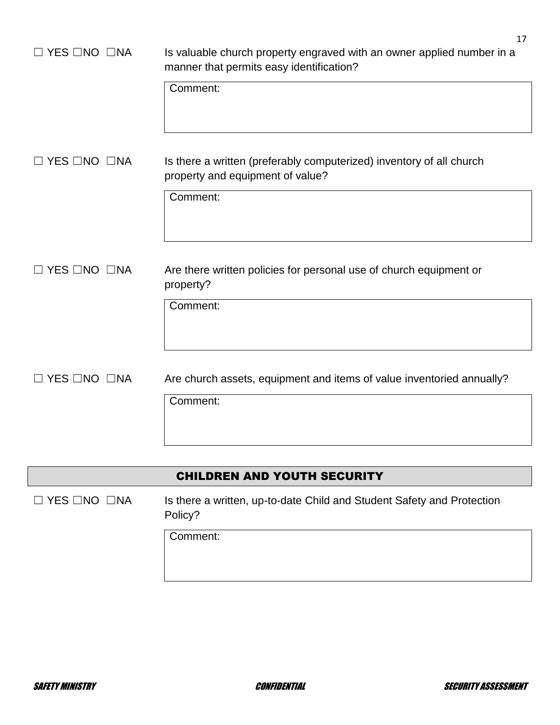| $\Box$ YES $\Box$ NO $\Box$ NA | 17<br>Is valuable church property engraved with an owner applied number in a                             |
|--------------------------------|----------------------------------------------------------------------------------------------------------|
|                                | manner that permits easy identification?                                                                 |
|                                | Comment:                                                                                                 |
| $\Box$ YES $\Box$ NO $\Box$ NA | Is there a written (preferably computerized) inventory of all church<br>property and equipment of value? |
|                                | Comment:                                                                                                 |
| $\Box$ YES $\Box$ NO $\Box$ NA | Are there written policies for personal use of church equipment or<br>property?                          |
|                                | Comment:                                                                                                 |
| $\Box$ YES $\Box$ NO $\Box$ NA | Are church assets, equipment and items of value inventoried annually?                                    |
|                                | Comment:                                                                                                 |

## CHILDREN AND YOUTH SECURITY

☐ YES ☐NO ☐NA Is there a written, up-to-date Child and Student Safety and Protection Policy?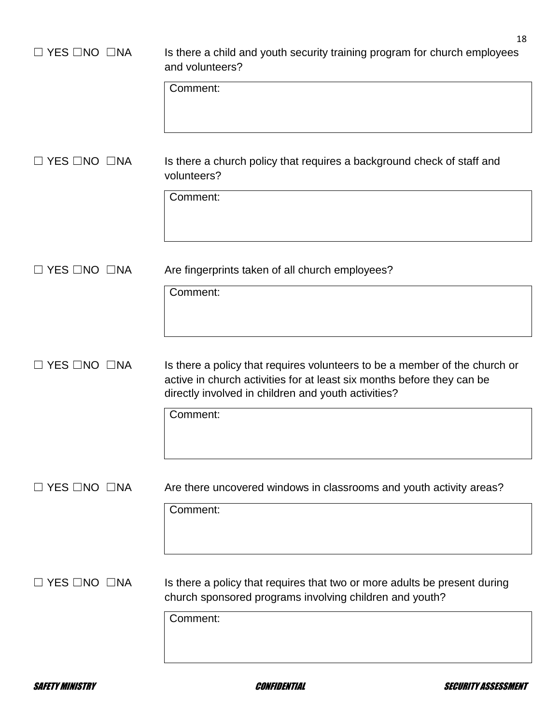| $\Box$ YES $\Box$ NO $\Box$ NA | 18<br>Is there a child and youth security training program for church employees<br>and volunteers?                                                                                                          |
|--------------------------------|-------------------------------------------------------------------------------------------------------------------------------------------------------------------------------------------------------------|
|                                | Comment:                                                                                                                                                                                                    |
| コ YES ⊡NO  □NA                 | Is there a church policy that requires a background check of staff and<br>volunteers?<br>Comment:                                                                                                           |
|                                |                                                                                                                                                                                                             |
| $\Box$ YES $\Box$ NO $\Box$ NA | Are fingerprints taken of all church employees?                                                                                                                                                             |
|                                | Comment:                                                                                                                                                                                                    |
| $\Box$ YES $\Box$ NO $\Box$ NA | Is there a policy that requires volunteers to be a member of the church or<br>active in church activities for at least six months before they can be<br>directly involved in children and youth activities? |
|                                | Comment:                                                                                                                                                                                                    |
| $\Box$ YES $\Box$ NO $\Box$ NA | Are there uncovered windows in classrooms and youth activity areas?                                                                                                                                         |
|                                | Comment:                                                                                                                                                                                                    |
| $\Box$ YES $\Box$ NO $\Box$ NA | Is there a policy that requires that two or more adults be present during<br>church sponsored programs involving children and youth?                                                                        |
|                                | Comment:                                                                                                                                                                                                    |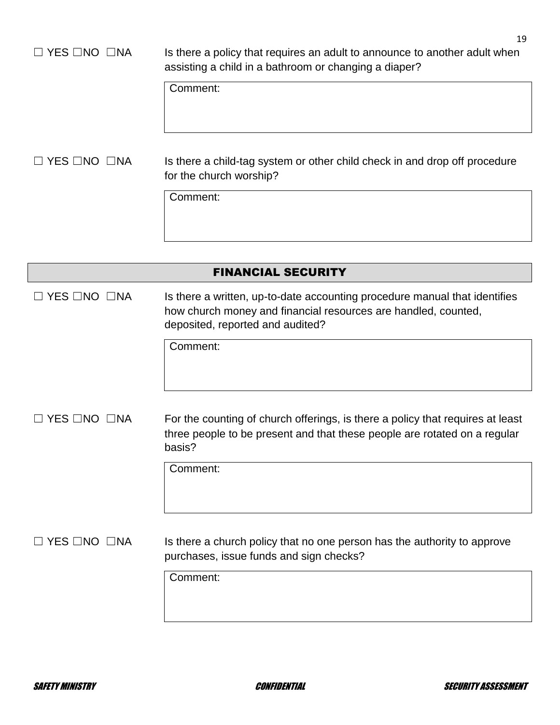## □ YES □NO □NA Is there a policy that requires an adult to announce to another adult when assisting a child in a bathroom or changing a diaper?

Comment:

## □ YES □NO □NA Is there a child-tag system or other child check in and drop off procedure for the church worship?

Comment:

|                                | <b>FINANCIAL SECURITY</b>                                                                                                                                                        |
|--------------------------------|----------------------------------------------------------------------------------------------------------------------------------------------------------------------------------|
| $\Box$ YES $\Box$ NO $\Box$ NA | Is there a written, up-to-date accounting procedure manual that identifies<br>how church money and financial resources are handled, counted,<br>deposited, reported and audited? |
|                                | Comment:                                                                                                                                                                         |
| YES □NO □NA                    | For the counting of church offerings, is there a policy that requires at least<br>three people to be present and that these people are rotated on a regular<br>basis?            |
|                                | Comment:                                                                                                                                                                         |
| YES □NO □NA                    | Is there a church policy that no one person has the authority to approve<br>purchases, issue funds and sign checks?                                                              |
|                                | Comment:                                                                                                                                                                         |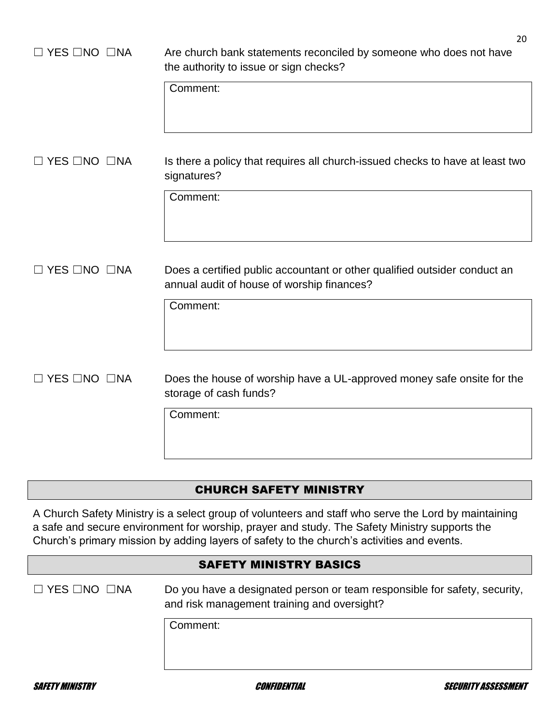| $\Box$ YES $\Box$ NO $\Box$ NA | 20<br>Are church bank statements reconciled by someone who does not have<br>the authority to issue or sign checks?<br>Comment: |
|--------------------------------|--------------------------------------------------------------------------------------------------------------------------------|
| $\Box$ YES $\Box$ NO $\Box$ NA | Is there a policy that requires all church-issued checks to have at least two<br>signatures?<br>Comment:                       |
| $\Box$ YES $\Box$ NO $\Box$ NA | Does a certified public accountant or other qualified outsider conduct an<br>annual audit of house of worship finances?        |
| $\Box$ YES $\Box$ NO $\Box$ NA | Comment:<br>Does the house of worship have a UL-approved money safe onsite for the<br>storage of cash funds?                   |
|                                | Comment:                                                                                                                       |

## CHURCH SAFETY MINISTRY

A Church Safety Ministry is a select group of volunteers and staff who serve the Lord by maintaining a safe and secure environment for worship, prayer and study. The Safety Ministry supports the Church's primary mission by adding layers of safety to the church's activities and events.

#### SAFETY MINISTRY BASICS

☐ YES ☐NO ☐NA Do you have a designated person or team responsible for safety, security, and risk management training and oversight?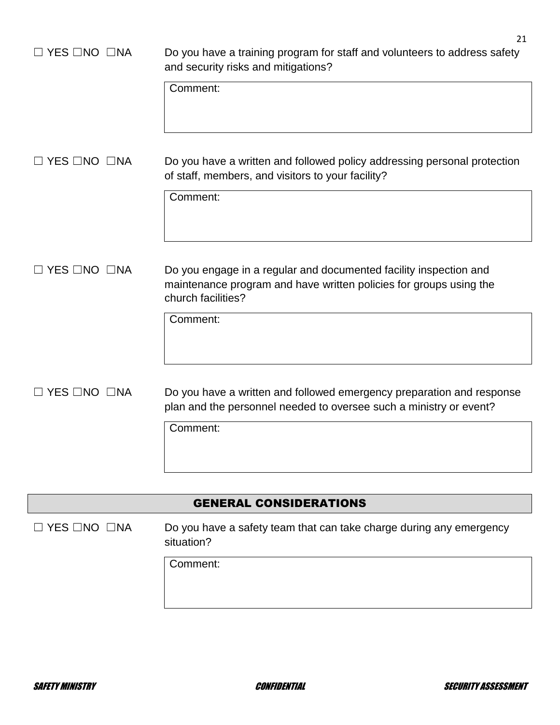| $\Box$ YES $\Box$ NO $\Box$ NA | 21<br>Do you have a training program for staff and volunteers to address safety<br>and security risks and mitigations?<br>Comment:                                        |
|--------------------------------|---------------------------------------------------------------------------------------------------------------------------------------------------------------------------|
| $\Box$ YES $\Box$ NO $\Box$ NA | Do you have a written and followed policy addressing personal protection<br>of staff, members, and visitors to your facility?<br>Comment:                                 |
| $\Box$ YES $\Box$ NO $\Box$ NA | Do you engage in a regular and documented facility inspection and<br>maintenance program and have written policies for groups using the<br>church facilities?<br>Comment: |
| $\Box$ YES $\Box$ NO $\Box$ NA | Do you have a written and followed emergency preparation and response<br>plan and the personnel needed to oversee such a ministry or event?<br>Comment:                   |

## GENERAL CONSIDERATIONS

□ YES □NO □NA Do you have a safety team that can take charge during any emergency situation?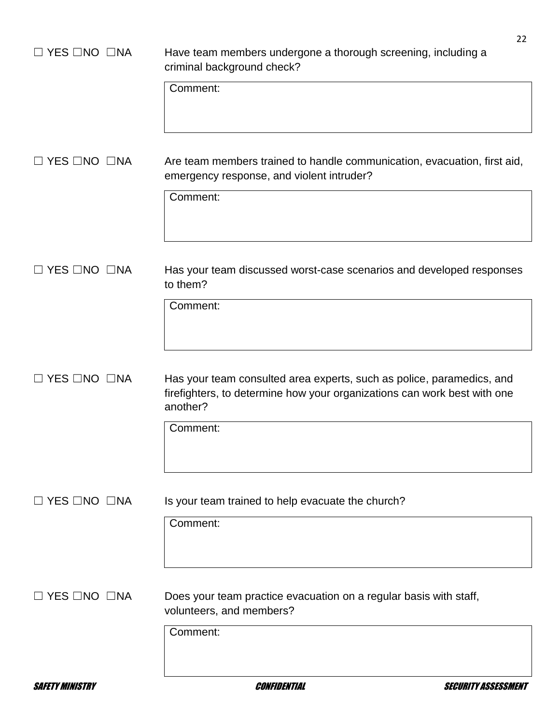| $\Box$ YES $\Box$ NO $\Box$ NA | 22<br>Have team members undergone a thorough screening, including a<br>criminal background check?                                                             |
|--------------------------------|---------------------------------------------------------------------------------------------------------------------------------------------------------------|
|                                | Comment:                                                                                                                                                      |
| $\Box$ YES $\Box$ NO $\Box$ NA | Are team members trained to handle communication, evacuation, first aid,<br>emergency response, and violent intruder?                                         |
|                                | Comment:                                                                                                                                                      |
| $\Box$ YES $\Box$ NO $\Box$ NA | Has your team discussed worst-case scenarios and developed responses<br>to them?                                                                              |
|                                | Comment:                                                                                                                                                      |
| $\Box$ YES $\Box$ NO $\Box$ NA | Has your team consulted area experts, such as police, paramedics, and<br>firefighters, to determine how your organizations can work best with one<br>another? |
|                                | Comment:                                                                                                                                                      |
| $\Box$ YES $\Box$ NO $\Box$ NA | Is your team trained to help evacuate the church?                                                                                                             |
|                                | Comment:                                                                                                                                                      |
| $\Box$ YES $\Box$ NO $\Box$ NA | Does your team practice evacuation on a regular basis with staff,<br>volunteers, and members?                                                                 |
|                                | Comment:                                                                                                                                                      |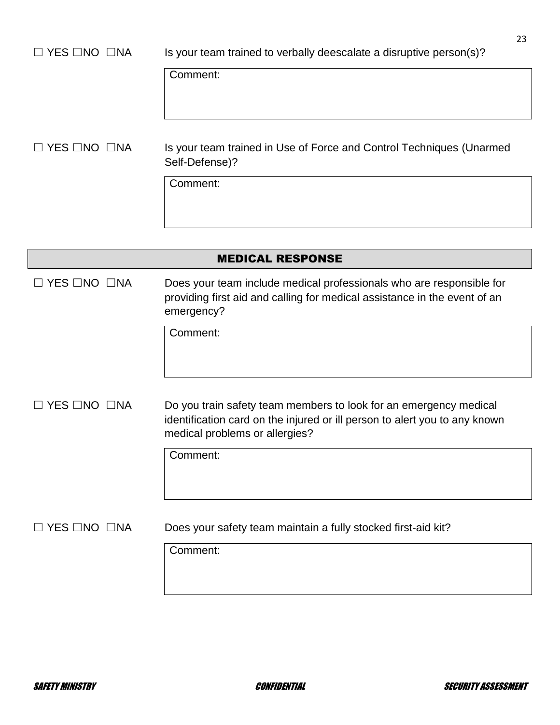| $\Box$ YES $\Box$ NO $\Box$ NA | 23<br>Is your team trained to verbally deescalate a disruptive person(s)?                                                                                                         |
|--------------------------------|-----------------------------------------------------------------------------------------------------------------------------------------------------------------------------------|
|                                | Comment:                                                                                                                                                                          |
| $\Box$ YES $\Box$ NO $\Box$ NA | Is your team trained in Use of Force and Control Techniques (Unarmed<br>Self-Defense)?                                                                                            |
|                                | Comment:                                                                                                                                                                          |
|                                |                                                                                                                                                                                   |
|                                | <b>MEDICAL RESPONSE</b>                                                                                                                                                           |
| <b>YES □NO □NA</b>             | Does your team include medical professionals who are responsible for<br>providing first aid and calling for medical assistance in the event of an<br>emergency?                   |
|                                | Comment:                                                                                                                                                                          |
| <b>YES □NO □NA</b>             | Do you train safety team members to look for an emergency medical<br>identification card on the injured or ill person to alert you to any known<br>medical problems or allergies? |
|                                | Comment:                                                                                                                                                                          |
| <b>YES □NO □NA</b>             | Does your safety team maintain a fully stocked first-aid kit?                                                                                                                     |
|                                | Comment:                                                                                                                                                                          |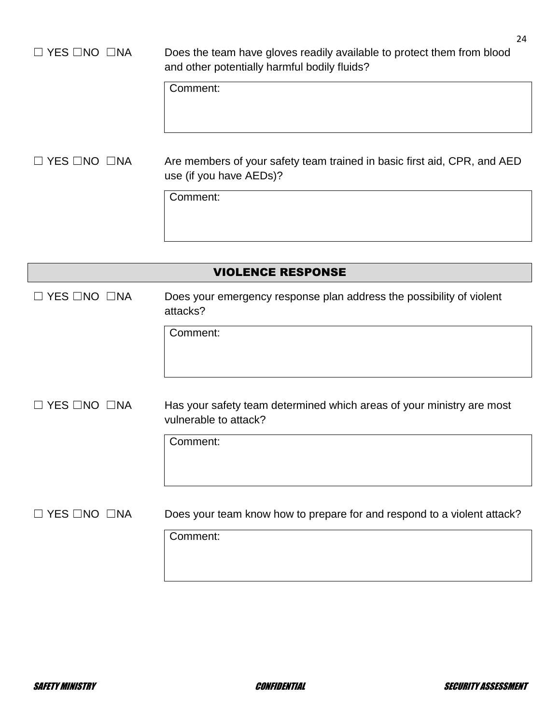## □ YES □NO □NA Does the team have gloves readily available to protect them from blood and other potentially harmful bodily fluids?

Comment:

□ YES □NO □NA Are members of your safety team trained in basic first aid, CPR, and AED use (if you have AEDs)?

Comment:

|                    | <b>VIOLENCE RESPONSE</b>                                                                       |
|--------------------|------------------------------------------------------------------------------------------------|
| YES □NO □NA        | Does your emergency response plan address the possibility of violent<br>attacks?               |
|                    | Comment:                                                                                       |
| <b>YES □NO □NA</b> | Has your safety team determined which areas of your ministry are most<br>vulnerable to attack? |
|                    | Comment:                                                                                       |
| <b>YES □NO □NA</b> | Does your team know how to prepare for and respond to a violent attack?                        |
|                    | Comment:                                                                                       |
|                    |                                                                                                |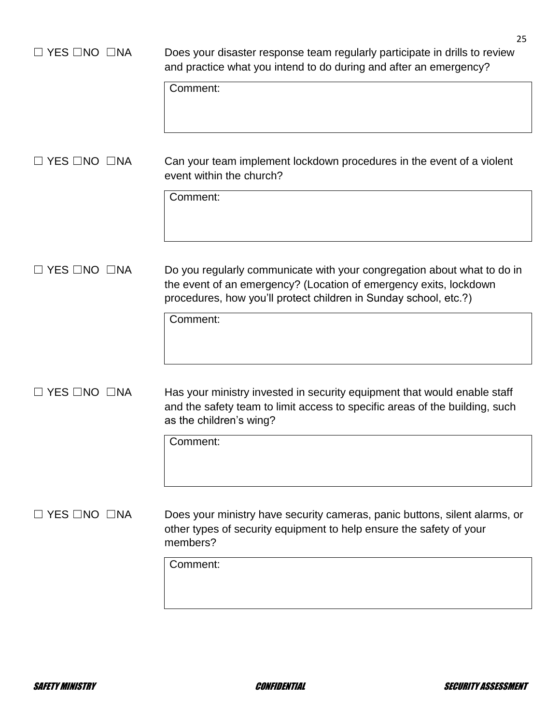| $\Box$ YES $\Box$ NO $\Box$ NA | 25<br>Does your disaster response team regularly participate in drills to review<br>and practice what you intend to do during and after an emergency?<br>Comment:                                                            |
|--------------------------------|------------------------------------------------------------------------------------------------------------------------------------------------------------------------------------------------------------------------------|
| YES □NO □NA                    | Can your team implement lockdown procedures in the event of a violent<br>event within the church?<br>Comment:                                                                                                                |
| YES □NO □NA                    | Do you regularly communicate with your congregation about what to do in<br>the event of an emergency? (Location of emergency exits, lockdown<br>procedures, how you'll protect children in Sunday school, etc.?)<br>Comment: |
| $\Box$ YES $\Box$ NO $\Box$ NA | Has your ministry invested in security equipment that would enable staff<br>and the safety team to limit access to specific areas of the building, such<br>as the children's wing?<br>Comment:                               |
| $\Box$ YES $\Box$ NO $\Box$ NA | Does your ministry have security cameras, panic buttons, silent alarms, or<br>other types of security equipment to help ensure the safety of your<br>members?<br>Comment:                                                    |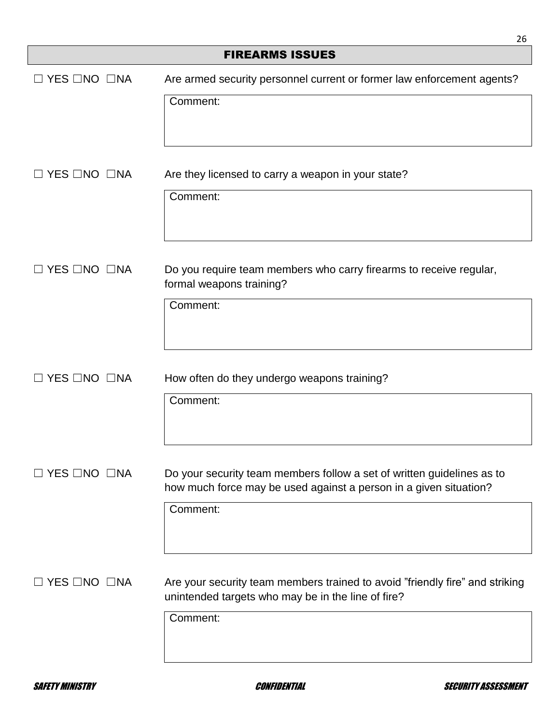|                                | 26                                                                                                                                          |
|--------------------------------|---------------------------------------------------------------------------------------------------------------------------------------------|
|                                | <b>FIREARMS ISSUES</b>                                                                                                                      |
| $\Box$ YES $\Box$ NO $\Box$ NA | Are armed security personnel current or former law enforcement agents?                                                                      |
|                                | Comment:                                                                                                                                    |
| YES □NO □NA                    | Are they licensed to carry a weapon in your state?<br>Comment:                                                                              |
|                                |                                                                                                                                             |
| $\Box$ YES $\Box$ NO $\Box$ NA | Do you require team members who carry firearms to receive regular,<br>formal weapons training?                                              |
|                                | Comment:                                                                                                                                    |
| $\Box$ YES $\Box$ NO $\Box$ NA | How often do they undergo weapons training?                                                                                                 |
|                                | Comment:                                                                                                                                    |
| <b>YES □NO □NA</b>             | Do your security team members follow a set of written guidelines as to<br>how much force may be used against a person in a given situation? |
|                                | Comment:                                                                                                                                    |
| $\Box$ YES $\Box$ NO $\Box$ NA | Are your security team members trained to avoid "friendly fire" and striking<br>unintended targets who may be in the line of fire?          |
|                                | Comment:                                                                                                                                    |